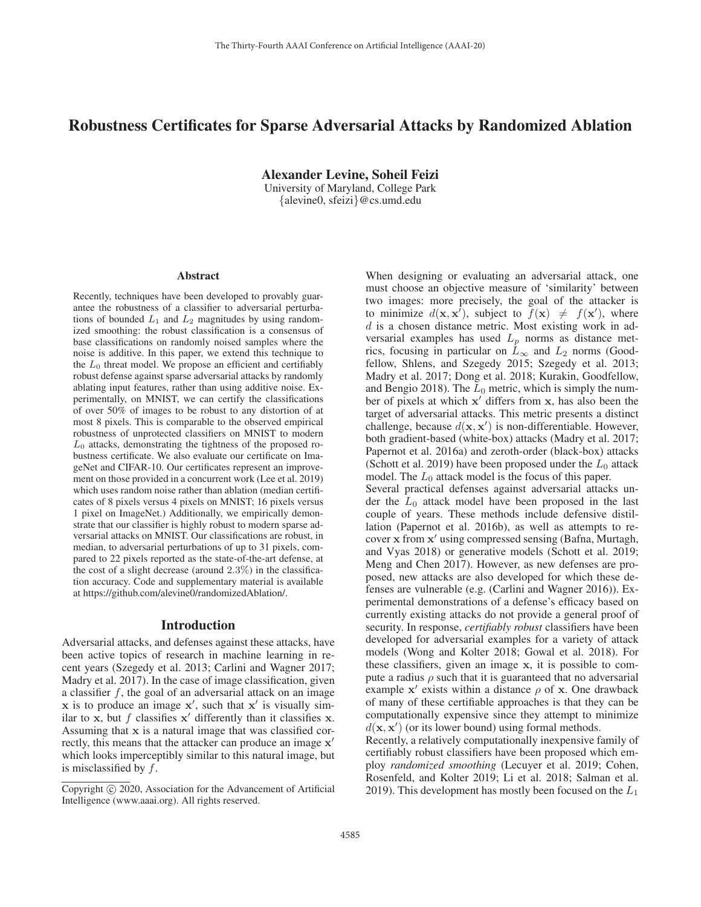# Robustness Certificates for Sparse Adversarial Attacks by Randomized Ablation

Alexander Levine, Soheil Feizi

University of Maryland, College Park {alevine0, sfeizi}@cs.umd.edu

### Abstract

Recently, techniques have been developed to provably guarantee the robustness of a classifier to adversarial perturbations of bounded  $L_1$  and  $L_2$  magnitudes by using randomized smoothing: the robust classification is a consensus of base classifications on randomly noised samples where the noise is additive. In this paper, we extend this technique to the  $L_0$  threat model. We propose an efficient and certifiably robust defense against sparse adversarial attacks by randomly ablating input features, rather than using additive noise. Experimentally, on MNIST, we can certify the classifications of over 50% of images to be robust to any distortion of at most 8 pixels. This is comparable to the observed empirical robustness of unprotected classifiers on MNIST to modern  $L_0$  attacks, demonstrating the tightness of the proposed robustness certificate. We also evaluate our certificate on ImageNet and CIFAR-10. Our certificates represent an improvement on those provided in a concurrent work (Lee et al. 2019) which uses random noise rather than ablation (median certificates of 8 pixels versus 4 pixels on MNIST; 16 pixels versus 1 pixel on ImageNet.) Additionally, we empirically demonstrate that our classifier is highly robust to modern sparse adversarial attacks on MNIST. Our classifications are robust, in median, to adversarial perturbations of up to 31 pixels, compared to 22 pixels reported as the state-of-the-art defense, at the cost of a slight decrease (around 2.3%) in the classification accuracy. Code and supplementary material is available at https://github.com/alevine0/randomizedAblation/.

#### Introduction

Adversarial attacks, and defenses against these attacks, have been active topics of research in machine learning in recent years (Szegedy et al. 2013; Carlini and Wagner 2017; Madry et al. 2017). In the case of image classification, given a classifier  $f$ , the goal of an adversarial attack on an image  $x$  is to produce an image  $x'$ , such that  $x'$  is visually similar to  $x$ , but  $f$  classifies  $x'$  differently than it classifies  $x$ . Assuming that **x** is a natural image that was classified correctly, this means that the attacker can produce an image **x** which looks imperceptibly similar to this natural image, but is misclassified by  $f$ .

When designing or evaluating an adversarial attack, one must choose an objective measure of 'similarity' between two images: more precisely, the goal of the attacker is to minimize  $d(\mathbf{x}, \mathbf{x}')$ , subject to  $f(\mathbf{x}) \neq f(\mathbf{x}')$ , where <br>d is a chosen distance metric Most existing work in ad $d$  is a chosen distance metric. Most existing work in adversarial examples has used  $L_p$  norms as distance metrics, focusing in particular on  $\tilde{L}_{\infty}$  and  $L_2$  norms (Goodfellow, Shlens, and Szegedy 2015; Szegedy et al. 2013; Madry et al. 2017; Dong et al. 2018; Kurakin, Goodfellow, and Bengio 2018). The  $L_0$  metric, which is simply the number of pixels at which **x**- differs from **x**, has also been the target of adversarial attacks. This metric presents a distinct challenge, because  $d(\mathbf{x}, \mathbf{x}')$  is non-differentiable. However, both gradient-based (white-box) attacks (Madry et al. 2017; both gradient-based (white-box) attacks (Madry et al. 2017; Papernot et al. 2016a) and zeroth-order (black-box) attacks (Schott et al. 2019) have been proposed under the  $L_0$  attack model. The  $L_0$  attack model is the focus of this paper. Several practical defenses against adversarial attacks under the  $L_0$  attack model have been proposed in the last couple of years. These methods include defensive distillation (Papernot et al. 2016b), as well as attempts to recover **x** from **x**- using compressed sensing (Bafna, Murtagh, and Vyas 2018) or generative models (Schott et al. 2019; Meng and Chen 2017). However, as new defenses are proposed, new attacks are also developed for which these defenses are vulnerable (e.g. (Carlini and Wagner 2016)). Experimental demonstrations of a defense's efficacy based on currently existing attacks do not provide a general proof of security. In response, *certifiably robust* classifiers have been developed for adversarial examples for a variety of attack models (Wong and Kolter 2018; Gowal et al. 2018). For these classifiers, given an image **x**, it is possible to compute a radius  $\rho$  such that it is guaranteed that no adversarial example  $x'$  exists within a distance  $\rho$  of x. One drawback of many of these certifiable approaches is that they can be computationally expensive since they attempt to minimize

 $d(\mathbf{x}, \mathbf{x}')$  (or its lower bound) using formal methods.<br>Recently a relatively computationally inexpensive f Recently, a relatively computationally inexpensive family of certifiably robust classifiers have been proposed which employ *randomized smoothing* (Lecuyer et al. 2019; Cohen, Rosenfeld, and Kolter 2019; Li et al. 2018; Salman et al. 2019). This development has mostly been focused on the  $L_1$ 

Copyright  $\odot$  2020, Association for the Advancement of Artificial Intelligence (www.aaai.org). All rights reserved.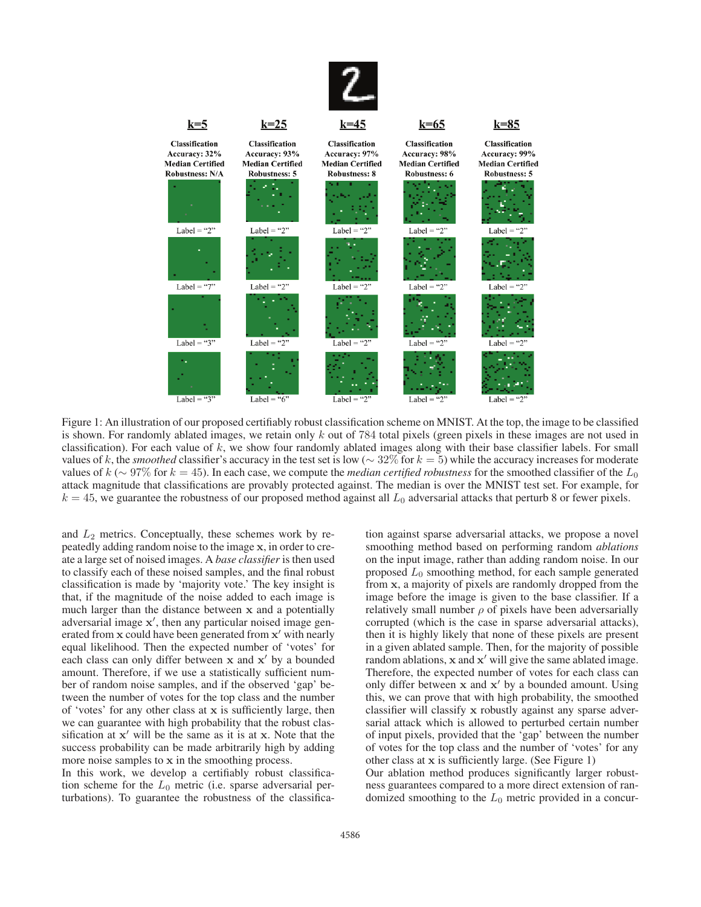

Figure 1: An illustration of our proposed certifiably robust classification scheme on MNIST. At the top, the image to be classified is shown. For randomly ablated images, we retain only  $k$  out of 784 total pixels (green pixels in these images are not used in classification). For each value of  $k$ , we show four randomly ablated images along with their base classifier labels. For small values of k, the *smoothed* classifier's accuracy in the test set is low ( $\sim$  32% for  $k = 5$ ) while the accuracy increases for moderate values of  $k (\sim 97\%$  for  $k = 45$ ). In each case, we compute the *median certified robustness* for the smoothed classifier of the  $L_0$ attack magnitude that classifications are provably protected against. The median is over the MNIST test set. For example, for  $k = 45$ , we guarantee the robustness of our proposed method against all  $L_0$  adversarial attacks that perturb 8 or fewer pixels.

and  $L_2$  metrics. Conceptually, these schemes work by repeatedly adding random noise to the image **x**, in order to create a large set of noised images. A *base classifier* is then used to classify each of these noised samples, and the final robust classification is made by 'majority vote.' The key insight is that, if the magnitude of the noise added to each image is much larger than the distance between **x** and a potentially adversarial image x', then any particular noised image generated from **x** could have been generated from **x**- with nearly equal likelihood. Then the expected number of 'votes' for each class can only differ between x and x' by a bounded amount. Therefore, if we use a statistically sufficient number of random noise samples, and if the observed 'gap' between the number of votes for the top class and the number of 'votes' for any other class at **x** is sufficiently large, then we can guarantee with high probability that the robust classification at  $x'$  will be the same as it is at  $x$ . Note that the success probability can be made arbitrarily high by adding more noise samples to **x** in the smoothing process.

In this work, we develop a certifiably robust classification scheme for the  $L_0$  metric (i.e. sparse adversarial perturbations). To guarantee the robustness of the classifica-

tion against sparse adversarial attacks, we propose a novel smoothing method based on performing random *ablations* on the input image, rather than adding random noise. In our proposed  $L_0$  smoothing method, for each sample generated from **x**, a majority of pixels are randomly dropped from the image before the image is given to the base classifier. If a relatively small number  $\rho$  of pixels have been adversarially corrupted (which is the case in sparse adversarial attacks), then it is highly likely that none of these pixels are present in a given ablated sample. Then, for the majority of possible random ablations, x and x' will give the same ablated image. Therefore, the expected number of votes for each class can only differ between  $x$  and  $x'$  by a bounded amount. Using this, we can prove that with high probability, the smoothed classifier will classify **x** robustly against any sparse adversarial attack which is allowed to perturbed certain number of input pixels, provided that the 'gap' between the number of votes for the top class and the number of 'votes' for any other class at **x** is sufficiently large. (See Figure 1)

Our ablation method produces significantly larger robustness guarantees compared to a more direct extension of randomized smoothing to the  $L_0$  metric provided in a concur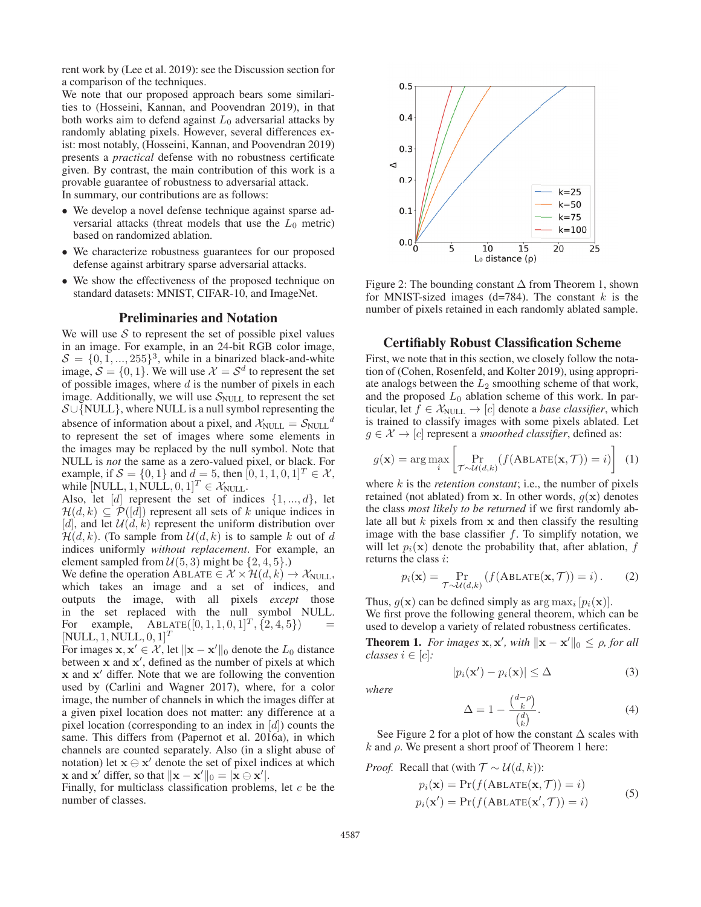rent work by (Lee et al. 2019): see the Discussion section for a comparison of the techniques.

We note that our proposed approach bears some similarities to (Hosseini, Kannan, and Poovendran 2019), in that both works aim to defend against  $L_0$  adversarial attacks by randomly ablating pixels. However, several differences exist: most notably, (Hosseini, Kannan, and Poovendran 2019) presents a *practical* defense with no robustness certificate given. By contrast, the main contribution of this work is a provable guarantee of robustness to adversarial attack. In summary, our contributions are as follows:

- We develop a novel defense technique against sparse adversarial attacks (threat models that use the  $L_0$  metric) based on randomized ablation.
- We characterize robustness guarantees for our proposed defense against arbitrary sparse adversarial attacks.
- We show the effectiveness of the proposed technique on standard datasets: MNIST, CIFAR-10, and ImageNet.

### Preliminaries and Notation

We will use  $S$  to represent the set of possible pixel values in an image. For example, in an 24-bit RGB color image,  $S = \{0, 1, ..., 255\}^3$ , while in a binarized black-and-white image,  $S = \{0, 1\}$ . We will use  $\mathcal{X} = \mathcal{S}^d$  to represent the set of possible images, where  $d$  is the number of pixels in each image. Additionally, we will use  $S_{\text{NULL}}$  to represent the set  $S \cup \{NULL\}$ , where NULL is a null symbol representing the absence of information about a pixel, and  $\chi_{\text{NULL}} = S_{\text{NULL}}$  d to represent the set of images where some elements in to represent the set of images where some elements in the images may be replaced by the null symbol. Note that NULL is *not* the same as a zero-valued pixel, or black. For example, if  $S = \{0, 1\}$  and  $d = 5$ , then  $[0, 1, 1, 0, 1]^T \in \mathcal{X}$ , while  $[NULL, 1, NULL, 0, 1]^T \in \mathcal{X}_{NULL}$ .

Also, let [d] represent the set of indices  $\{1, ..., d\}$ , let  $\mathcal{H}(d, k) \subseteq \mathcal{P}([d])$  represent all sets of k unique indices in [d], and let  $\mathcal{U}(d, k)$  represent the uniform distribution over  $\mathcal{H}(d, k)$ . (To sample from  $\mathcal{U}(d, k)$  is to sample k out of d indices uniformly *without replacement*. For example, an element sampled from  $U(5, 3)$  might be  $\{2, 4, 5\}$ .

We define the operation ABLATE  $\in \mathcal{X} \times \mathcal{H}(d, k) \to \mathcal{X}_{\text{NULL}}$ , which takes an image and a set of indices, and outputs the image, with all pixels *except* those in the set replaced with the null symbol NULL. For example,  $ABLATE([0, 1, 1, 0, 1]^T, \{2, 4, 5\})$  $[NULL, 1, NULL, 0, 1]^T$ 

For images  $\mathbf{x}, \mathbf{x}' \in \mathcal{X}$ , let  $\|\mathbf{x} - \mathbf{x}'\|_0$  denote the  $L_0$  distance between  $x$  and  $x'$ , defined as the number of pixels at which **x** and **x**<sup> $\prime$ </sup> differ. Note that we are following the convention used by (Carlini and Wagner 2017), where, for a color image, the number of channels in which the images differ at a given pixel location does not matter: any difference at a pixel location (corresponding to an index in  $[d]$ ) counts the same. This differs from (Papernot et al. 2016a), in which channels are counted separately. Also (in a slight abuse of notation) let  $x \oplus x'$  denote the set of pixel indices at which **x** and **x**' differ, so that  $\|\mathbf{x} - \mathbf{x}'\|_0 = |\mathbf{x} \ominus \mathbf{x}'|$ .<br>Finally for multiclass classification problem

Finally, for multiclass classification problems, let  $c$  be the number of classes.



Figure 2: The bounding constant  $\Delta$  from Theorem 1, shown for MNIST-sized images (d=784). The constant  $k$  is the number of pixels retained in each randomly ablated sample.

### Certifiably Robust Classification Scheme

First, we note that in this section, we closely follow the notation of (Cohen, Rosenfeld, and Kolter 2019), using appropriate analogs between the  $L_2$  smoothing scheme of that work, and the proposed  $L_0$  ablation scheme of this work. In particular, let  $f \in \mathcal{X}_{\text{NULL}} \rightarrow [c]$  denote a *base classifier*, which is trained to classify images with some pixels ablated. Let  $g \in \mathcal{X} \rightarrow [c]$  represent a *smoothed classifier*, defined as:

$$
g(\mathbf{x}) = \arg \max_{i} \left[ \Pr_{\tau \sim \mathcal{U}(d,k)}(f(\text{ABLATE}(\mathbf{x}, \mathcal{T})) = i) \right] \tag{1}
$$

where k is the *retention constant*; i.e., the number of pixels retained (not ablated) from **x**. In other words,  $g(\mathbf{x})$  denotes the class *most likely to be returned* if we first randomly ablate all but  $k$  pixels from  $x$  and then classify the resulting image with the base classifier  $f$ . To simplify notation, we will let  $p_i(\mathbf{x})$  denote the probability that, after ablation, f returns the class i:

$$
p_i(\mathbf{x}) = \Pr_{\mathcal{T} \sim \mathcal{U}(d,k)} \left( f(\mathbf{ABLATE}(\mathbf{x}, \mathcal{T})) = i \right). \tag{2}
$$

Thus,  $q(\mathbf{x})$  can be defined simply as  $\arg \max_i [p_i(\mathbf{x})]$ . We first prove the following general theorem, which can be used to develop a variety of related robustness certificates.

**Theorem 1.** For images  $\mathbf{x}, \mathbf{x}'$ , with  $\|\mathbf{x} - \mathbf{x}'\|_0 \leq \rho$ , for all *classes*  $i \in [c]$ *:* 

$$
|p_i(\mathbf{x}') - p_i(\mathbf{x})| \le \Delta \tag{3}
$$

*where*

$$
\Delta = 1 - \frac{\binom{d-\rho}{k}}{\binom{d}{k}}.\tag{4}
$$

See Figure 2 for a plot of how the constant  $\Delta$  scales with k and  $\rho$ . We present a short proof of Theorem 1 here:

*Proof.* Recall that (with  $T \sim U(d, k)$ ):

$$
p_i(\mathbf{x}) = \Pr(f(\text{ABLATE}(\mathbf{x}, \mathcal{T})) = i)
$$
  

$$
p_i(\mathbf{x}') = \Pr(f(\text{ABLATE}(\mathbf{x}', \mathcal{T})) = i)
$$
 (5)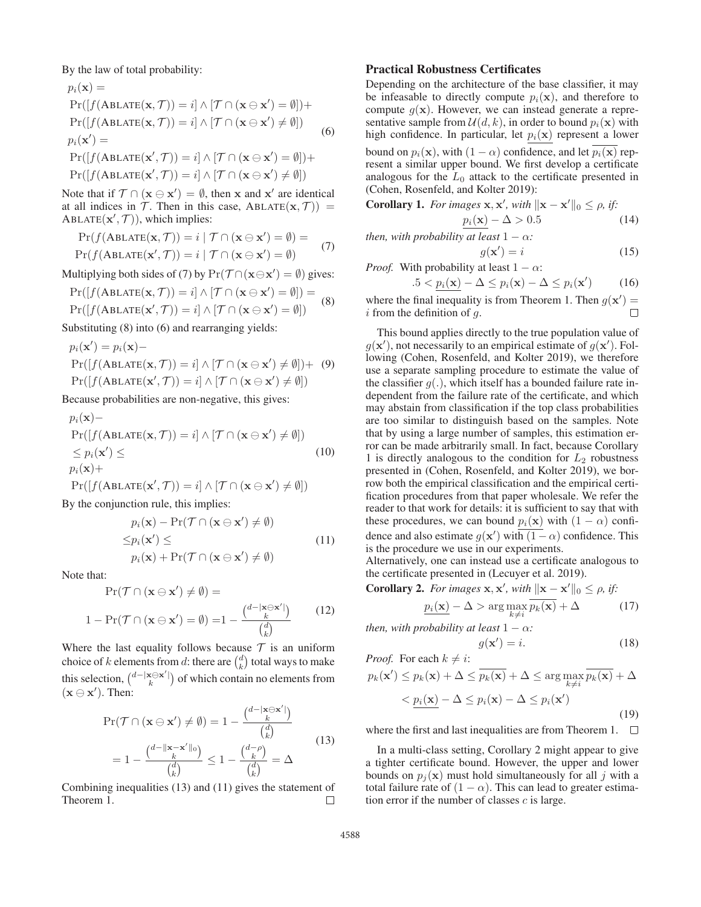By the law of total probability:

$$
p_i(\mathbf{x}) =
$$
  
\n
$$
Pr([f(\mathbf{ABLATE}(\mathbf{x}, \mathcal{T})) = i] \land [\mathcal{T} \cap (\mathbf{x} \ominus \mathbf{x}') = \emptyset]) +
$$
  
\n
$$
Pr([f(\mathbf{ABLATE}(\mathbf{x}, \mathcal{T})) = i] \land [\mathcal{T} \cap (\mathbf{x} \ominus \mathbf{x}') \neq \emptyset])
$$
  
\n
$$
p_i(\mathbf{x}') =
$$
  
\n
$$
Pr([f(\mathbf{ABLATE}(\mathbf{x}', \mathcal{T})) = i] \land [\mathcal{T} \cap (\mathbf{x} \ominus \mathbf{x}') = \emptyset]) +
$$
  
\n
$$
Pr([f(\mathbf{ABLATE}(\mathbf{x}', \mathcal{T})) = i] \land [\mathcal{T} \cap (\mathbf{x} \ominus \mathbf{x}') \neq \emptyset])
$$

Note that if  $\mathcal{T} \cap (\mathbf{x} \ominus \mathbf{x}') = \emptyset$ , then **x** and **x**<sup>'</sup> are identical at all indices in  $\mathcal{T}$ . Then in this case. ABLATE(**x**  $\mathcal{T}$ )) = at all indices in  $\mathcal T$ . Then in this case, ABLATE $(\mathbf x, \mathcal T)$  =  $ABLATE(\mathbf{x}', \mathcal{T})$ , which implies:

$$
Pr(f(ABLATE(\mathbf{x}, \mathcal{T})) = i | \mathcal{T} \cap (\mathbf{x} \ominus \mathbf{x}') = \emptyset) =
$$
  
Pr(f(ABLATE(\mathbf{x}', \mathcal{T})) = i | \mathcal{T} \cap (\mathbf{x} \ominus \mathbf{x}') = \emptyset) (7)

Multiplying both sides of (7) by  $Pr(\mathcal{T} \cap (\mathbf{x} \ominus \mathbf{x}') = \emptyset)$  gives:

$$
Pr([f(ABLATE(\mathbf{x}, \mathcal{T})) = i] \land [\mathcal{T} \cap (\mathbf{x} \ominus \mathbf{x}') = \emptyset]) =
$$
  
\n
$$
Pr([f(ABLATE(\mathbf{x}', \mathcal{T})) = i] \land [\mathcal{T} \cap (\mathbf{x} \ominus \mathbf{x}') = \emptyset])
$$
\n(8)

Substituting (8) into (6) and rearranging yields:

$$
p_i(\mathbf{x}') = p_i(\mathbf{x}) -
$$
  
Pr([f(ABLATE(\mathbf{x}, \mathcal{T})) = i] \wedge [\mathcal{T} \cap (\mathbf{x} \ominus \mathbf{x}') \neq \emptyset]) + (9)  
Pr([f(ABLATE(\mathbf{x}', \mathcal{T})) = i] \wedge [\mathcal{T} \cap (\mathbf{x} \ominus \mathbf{x}') \neq \emptyset])

Because probabilities are non-negative, this gives:

$$
p_i(\mathbf{x}) -
$$
  
\n
$$
Pr([f(ABLATE(\mathbf{x}, \mathcal{T})) = i] \land [\mathcal{T} \cap (\mathbf{x} \ominus \mathbf{x}') \neq \emptyset])
$$
  
\n
$$
\leq p_i(\mathbf{x}') \leq
$$
  
\n
$$
p_i(\mathbf{x}) +
$$
\n(10)

$$
Pr([f(ABLATE(\mathbf{x}', \mathcal{T})) = i] \wedge [\mathcal{T} \cap (\mathbf{x} \ominus \mathbf{x}') \neq \emptyset])
$$

By the conjunction rule, this implies:

$$
p_i(\mathbf{x}) - \Pr(\mathcal{T} \cap (\mathbf{x} \ominus \mathbf{x}') \neq \emptyset)
$$
  
\n
$$
\leq p_i(\mathbf{x}') \leq \qquad (11)
$$
  
\n
$$
p_i(\mathbf{x}) + \Pr(\mathcal{T} \cap (\mathbf{x} \ominus \mathbf{x}') \neq \emptyset)
$$

Note that:

$$
\Pr(\mathcal{T} \cap (\mathbf{x} \ominus \mathbf{x}') \neq \emptyset) =
$$

$$
1 - \Pr(\mathcal{T} \cap (\mathbf{x} \ominus \mathbf{x}') = \emptyset) = 1 - \frac{\binom{d - |\mathbf{x} \ominus \mathbf{x}'|}{k}}{\binom{d}{k}} \tag{12}
$$

Where the last equality follows because  $T$  is an uniform choice of k elements from d: there are  $\binom{d}{k}$  total ways to make this selection,  $\binom{d-|\mathbf{x}\ominus\mathbf{x}'|}{k}$  of which contain no elements from  $(\mathbf{x} \ominus \mathbf{x}')$ . Then:

$$
\Pr(\mathcal{T} \cap (\mathbf{x} \ominus \mathbf{x}') \neq \emptyset) = 1 - \frac{\binom{d - |\mathbf{x} \ominus \mathbf{x}'|}{k}}{\binom{d}{k}}
$$

$$
= 1 - \frac{\binom{d - |\mathbf{x} - \mathbf{x}'|}{k}}{\binom{d}{k}} \leq 1 - \frac{\binom{d - \rho}{k}}{\binom{d}{k}} = \Delta
$$
(13)

Combining inequalities (13) and (11) gives the statement of Theorem 1.  $\Box$ 

### Practical Robustness Certificates

Depending on the architecture of the base classifier, it may be infeasable to directly compute  $p_i(\mathbf{x})$ , and therefore to compute  $g(x)$ . However, we can instead generate a representative sample from  $\mathcal{U}(d, k)$ , in order to bound  $p_i(\mathbf{x})$  with high confidence. In particular, let  $p_i(\mathbf{x})$  represent a lower bound on  $p_i(\mathbf{x})$ , with  $(1 - \alpha)$  confidence, and let  $p_i(\mathbf{x})$  represent a similar upper bound. We first develop a certificate analogous for the  $L_0$  attack to the certificate presented in

(Cohen, Rosenfeld, and Koller 2019):  
\n**Corollary 1.** For images **x**, **x'**, with 
$$
||\mathbf{x} - \mathbf{x}'||_0 \le \rho
$$
, if:  
\n
$$
\frac{p_i(\mathbf{x}) - \Delta > 0.5}{\rho_i(\mathbf{x}) - \rho_i(\mathbf{x})}
$$
\n(14)

*then, with probability at least*  $1 - \alpha$ *:* 

$$
g(\mathbf{x}') = i \tag{15}
$$

*Proof.* With probability at least  $1 - \alpha$ :

$$
.5 < p_i(\mathbf{x}) - \Delta \le p_i(\mathbf{x}) - \Delta \le p_i(\mathbf{x'}) \tag{16}
$$

where the final inequality is from Theorem 1. Then  $g(\mathbf{x}') = i$  from the definition of a  $i$  from the definition of  $q$ .

This bound applies directly to the true population value of  $g(\mathbf{x}')$ , not necessarily to an empirical estimate of  $g(\mathbf{x}')$ . Fol-<br>lowing (Cohen, Rosenfeld, and Kolter 2019), we therefore lowing (Cohen, Rosenfeld, and Kolter 2019), we therefore use a separate sampling procedure to estimate the value of the classifier  $g(.)$ , which itself has a bounded failure rate independent from the failure rate of the certificate, and which may abstain from classification if the top class probabilities are too similar to distinguish based on the samples. Note that by using a large number of samples, this estimation error can be made arbitrarily small. In fact, because Corollary 1 is directly analogous to the condition for  $L_2$  robustness presented in (Cohen, Rosenfeld, and Kolter 2019), we borrow both the empirical classification and the empirical certification procedures from that paper wholesale. We refer the reader to that work for details: it is sufficient to say that with these procedures, we can bound  $p_i(\mathbf{x})$  with  $(1 - \alpha)$  confidence and also estimate  $g(x')$  with  $(1 - \alpha)$  confidence. This is the procedure we use in our experiments is the procedure we use in our experiments.

Alternatively, one can instead use a certificate analogous to the certificate presented in (Lecuyer et al. 2019).

**Corollary 2.** *For images*  $\mathbf{x}, \mathbf{x}'$ *, with*  $\|\mathbf{x} - \mathbf{x}'\|_0 \leq \rho$ *, if:* 

$$
\underline{p_i(\mathbf{x})} - \Delta > \arg \max_{k \neq i} \overline{p_k(\mathbf{x})} + \Delta \tag{17}
$$

*then, with probability at least*  $1 - \alpha$ *:* 

$$
g(\mathbf{x}') = i. \tag{18}
$$

*Proof.* For each 
$$
k \neq i
$$
:  
\n
$$
p_k(\mathbf{x}') \leq p_k(\mathbf{x}) + \Delta \leq \overline{p_k(\mathbf{x})} + \Delta \leq \arg \max_{k \neq i} \overline{p_k(\mathbf{x})} + \Delta
$$
\n
$$
< \underline{p_i(\mathbf{x})} - \Delta \leq p_i(\mathbf{x}) - \Delta \leq p_i(\mathbf{x}')
$$
\n(19)

where the first and last inequalities are from Theorem 1.  $\Box$ 

In a multi-class setting, Corollary 2 might appear to give a tighter certificate bound. However, the upper and lower bounds on  $p_i(\mathbf{x})$  must hold simultaneously for all j with a total failure rate of  $(1 - \alpha)$ . This can lead to greater estimation error if the number of classes  $c$  is large.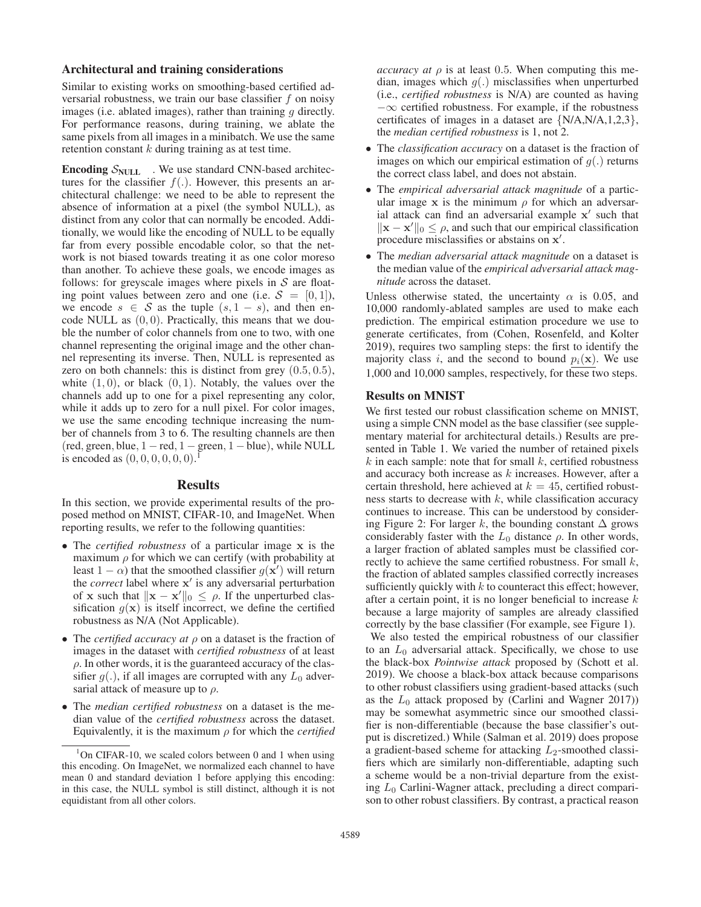### Architectural and training considerations

Similar to existing works on smoothing-based certified adversarial robustness, we train our base classifier  $f$  on noisy images (i.e. ablated images), rather than training  $g$  directly. For performance reasons, during training, we ablate the same pixels from all images in a minibatch. We use the same retention constant  $k$  during training as at test time.

**Encoding**  $S_{\text{NULL}}$  . We use standard CNN-based architectures for the classifier  $f(.)$ . However, this presents an architectural challenge: we need to be able to represent the absence of information at a pixel (the symbol NULL), as distinct from any color that can normally be encoded. Additionally, we would like the encoding of NULL to be equally far from every possible encodable color, so that the network is not biased towards treating it as one color moreso than another. To achieve these goals, we encode images as follows: for greyscale images where pixels in  $S$  are floating point values between zero and one (i.e.  $S = [0, 1]$ ), we encode  $s \in S$  as the tuple  $(s, 1 - s)$ , and then encode NULL as  $(0, 0)$ . Practically, this means that we double the number of color channels from one to two, with one channel representing the original image and the other channel representing its inverse. Then, NULL is represented as zero on both channels: this is distinct from grey  $(0.5, 0.5)$ , white  $(1, 0)$ , or black  $(0, 1)$ . Notably, the values over the channels add up to one for a pixel representing any color, while it adds up to zero for a null pixel. For color images, we use the same encoding technique increasing the number of channels from 3 to 6. The resulting channels are then  $(\text{red}, \text{green}, \text{blue}, 1 - \text{red}, 1 - \text{green}, 1 - \text{blue})$ , while NULL is encoded as  $(0, 0, 0, 0, 0, 0)$ .<sup>1</sup>

#### Results

In this section, we provide experimental results of the proposed method on MNIST, CIFAR-10, and ImageNet. When reporting results, we refer to the following quantities:

- The *certified robustness* of a particular image **x** is the maximum  $\rho$  for which we can certify (with probability at least  $1 - \alpha$ ) that the smoothed classifier  $g(\mathbf{x}')$  will return<br>the *correct* label where  $\mathbf{x}'$  is any adversarial perturbation the *correct* label where **x**- is any adversarial perturbation of **x** such that  $\|\mathbf{x} - \mathbf{x}'\|_0 \le \rho$ . If the unperturbed classification  $g(\mathbf{x})$  is itself incorrect, we define the certified robustness as N/A (Not Applicable).
- The *certified accuracy at*  $\rho$  on a dataset is the fraction of images in the dataset with *certified robustness* of at least  $\rho$ . In other words, it is the guaranteed accuracy of the classifier  $g(.)$ , if all images are corrupted with any  $L_0$  adversarial attack of measure up to  $\rho$ .
- The *median certified robustness* on a dataset is the median value of the *certified robustness* across the dataset. Equivalently, it is the maximum  $\rho$  for which the *certified*

*accuracy at*  $\rho$  is at least 0.5. When computing this median, images which  $g(.)$  misclassifies when unperturbed (i.e., *certified robustness* is N/A) are counted as having  $-\infty$  certified robustness. For example, if the robustness certificates of images in a dataset are  $\{N/A, N/A, 1, 2, 3\}$ , the *median certified robustness* is 1, not 2.

- The *classification accuracy* on a dataset is the fraction of images on which our empirical estimation of  $g(.)$  returns the correct class label, and does not abstain.
- The *empirical adversarial attack magnitude* of a particular image **x** is the minimum  $\rho$  for which an adversarial attack can find an adversarial example x' such that  $\|\mathbf{x} - \mathbf{x}'\|_0 \leq \rho$ , and such that our empirical classification procedure misclassifies or abstains on x'.
- The *median adversarial attack magnitude* on a dataset is the median value of the *empirical adversarial attack magnitude* across the dataset.

Unless otherwise stated, the uncertainty  $\alpha$  is 0.05, and 10,000 randomly-ablated samples are used to make each prediction. The empirical estimation procedure we use to generate certificates, from (Cohen, Rosenfeld, and Kolter 2019), requires two sampling steps: the first to identify the majority class i, and the second to bound  $p_i(\mathbf{x})$ . We use 1,000 and 10,000 samples, respectively, for these two steps.

# Results on MNIST

We first tested our robust classification scheme on MNIST, using a simple CNN model as the base classifier (see supplementary material for architectural details.) Results are presented in Table 1. We varied the number of retained pixels  $k$  in each sample: note that for small  $k$ , certified robustness and accuracy both increase as k increases. However, after a certain threshold, here achieved at  $k = 45$ , certified robustness starts to decrease with  $k$ , while classification accuracy continues to increase. This can be understood by considering Figure 2: For larger k, the bounding constant  $\Delta$  grows considerably faster with the  $L_0$  distance  $\rho$ . In other words, a larger fraction of ablated samples must be classified correctly to achieve the same certified robustness. For small  $k$ , the fraction of ablated samples classified correctly increases sufficiently quickly with  $k$  to counteract this effect; however, after a certain point, it is no longer beneficial to increase  $k$ because a large majority of samples are already classified correctly by the base classifier (For example, see Figure 1).

We also tested the empirical robustness of our classifier to an  $L_0$  adversarial attack. Specifically, we chose to use the black-box *Pointwise attack* proposed by (Schott et al. 2019). We choose a black-box attack because comparisons to other robust classifiers using gradient-based attacks (such as the  $L_0$  attack proposed by (Carlini and Wagner 2017)) may be somewhat asymmetric since our smoothed classifier is non-differentiable (because the base classifier's output is discretized.) While (Salman et al. 2019) does propose a gradient-based scheme for attacking  $L_2$ -smoothed classifiers which are similarly non-differentiable, adapting such a scheme would be a non-trivial departure from the existing  $L_0$  Carlini-Wagner attack, precluding a direct comparison to other robust classifiers. By contrast, a practical reason

<sup>&</sup>lt;sup>1</sup>On CIFAR-10, we scaled colors between 0 and 1 when using this encoding. On ImageNet, we normalized each channel to have mean 0 and standard deviation 1 before applying this encoding: in this case, the NULL symbol is still distinct, although it is not equidistant from all other colors.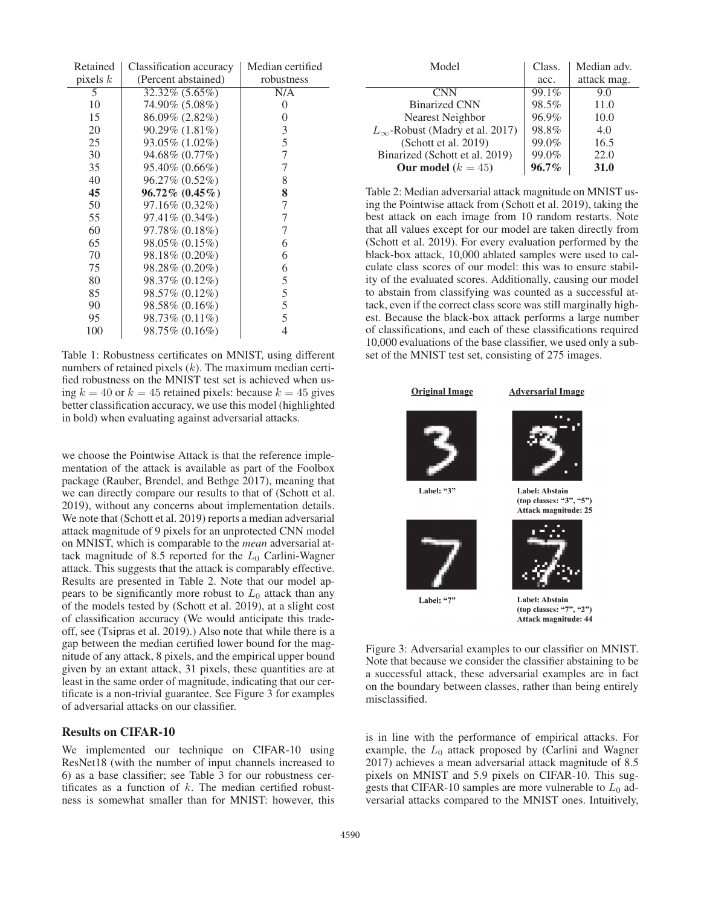| Retained   | Classification accuracy | Median certified |
|------------|-------------------------|------------------|
| pixels $k$ | (Percent abstained)     | robustness       |
| 5          | 32.32% (5.65%)          | N/A              |
| 10         | 74.90% (5.08%)          | 0                |
| 15         | 86.09% (2.82%)          | $\overline{0}$   |
| 20         | $90.29\%$ $(1.81\%)$    | 3                |
| 25         | 93.05% (1.02%)          | 5                |
| 30         | 94.68% (0.77%)          | 7                |
| 35         | 95.40\% (0.66\%)        | 7                |
| 40         | 96.27% (0.52%)          | 8                |
| 45         | $96.72\%$ $(0.45\%)$    | 8                |
| 50         | 97.16% (0.32%)          | 7                |
| 55         | 97.41% (0.34%)          | 7                |
| 60         | 97.78% (0.18%)          | 7                |
| 65         | 98.05% (0.15%)          | 6                |
| 70         | 98.18% (0.20%)          | 6                |
| 75         | 98.28% (0.20%)          | 6                |
| 80         | 98.37\% (0.12\%)        | 5                |
| 85         | 98.57\% (0.12\%)        | 5                |
| 90         | 98.58% (0.16%)          | 5                |
| 95         | 98.73\% (0.11\%)        | 5                |
| 100        | 98.75% (0.16%)          | 4                |

Table 1: Robustness certificates on MNIST, using different numbers of retained pixels  $(k)$ . The maximum median certified robustness on the MNIST test set is achieved when using  $k = 40$  or  $k = 45$  retained pixels: because  $k = 45$  gives better classification accuracy, we use this model (highlighted in bold) when evaluating against adversarial attacks.

we choose the Pointwise Attack is that the reference implementation of the attack is available as part of the Foolbox package (Rauber, Brendel, and Bethge 2017), meaning that we can directly compare our results to that of (Schott et al. 2019), without any concerns about implementation details. We note that (Schott et al. 2019) reports a median adversarial attack magnitude of 9 pixels for an unprotected CNN model on MNIST, which is comparable to the *mean* adversarial attack magnitude of 8.5 reported for the  $L_0$  Carlini-Wagner attack. This suggests that the attack is comparably effective. Results are presented in Table 2. Note that our model appears to be significantly more robust to  $L_0$  attack than any of the models tested by (Schott et al. 2019), at a slight cost of classification accuracy (We would anticipate this tradeoff, see (Tsipras et al. 2019).) Also note that while there is a gap between the median certified lower bound for the magnitude of any attack, 8 pixels, and the empirical upper bound given by an extant attack, 31 pixels, these quantities are at least in the same order of magnitude, indicating that our certificate is a non-trivial guarantee. See Figure 3 for examples of adversarial attacks on our classifier.

# Results on CIFAR-10

We implemented our technique on CIFAR-10 using ResNet18 (with the number of input channels increased to 6) as a base classifier; see Table 3 for our robustness certificates as a function of  $k$ . The median certified robustness is somewhat smaller than for MNIST: however, this

| Model                                    | Class.   | Median adv. |
|------------------------------------------|----------|-------------|
|                                          | acc.     | attack mag. |
| <b>CNN</b>                               | 99.1%    | 9.0         |
| <b>Binarized CNN</b>                     | 98.5%    | 11.0        |
| <b>Nearest Neighbor</b>                  | 96.9%    | 10.0        |
| $L_{\infty}$ -Robust (Madry et al. 2017) | 98.8%    | 4.0         |
| (Schott et al. 2019)                     | 99.0%    | 16.5        |
| Binarized (Schott et al. 2019)           | 99.0%    | 22.0        |
| Our model $(k = 45)$                     | $96.7\%$ | 31.0        |
|                                          |          |             |

Table 2: Median adversarial attack magnitude on MNIST using the Pointwise attack from (Schott et al. 2019), taking the best attack on each image from 10 random restarts. Note that all values except for our model are taken directly from (Schott et al. 2019). For every evaluation performed by the black-box attack, 10,000 ablated samples were used to calculate class scores of our model: this was to ensure stability of the evaluated scores. Additionally, causing our model to abstain from classifying was counted as a successful attack, even if the correct class score was still marginally highest. Because the black-box attack performs a large number of classifications, and each of these classifications required 10,000 evaluations of the base classifier, we used only a subset of the MNIST test set, consisting of 275 images.



Figure 3: Adversarial examples to our classifier on MNIST. Note that because we consider the classifier abstaining to be a successful attack, these adversarial examples are in fact on the boundary between classes, rather than being entirely misclassified.

is in line with the performance of empirical attacks. For example, the  $L_0$  attack proposed by (Carlini and Wagner 2017) achieves a mean adversarial attack magnitude of 8.5 pixels on MNIST and 5.9 pixels on CIFAR-10. This suggests that CIFAR-10 samples are more vulnerable to  $L_0$  adversarial attacks compared to the MNIST ones. Intuitively,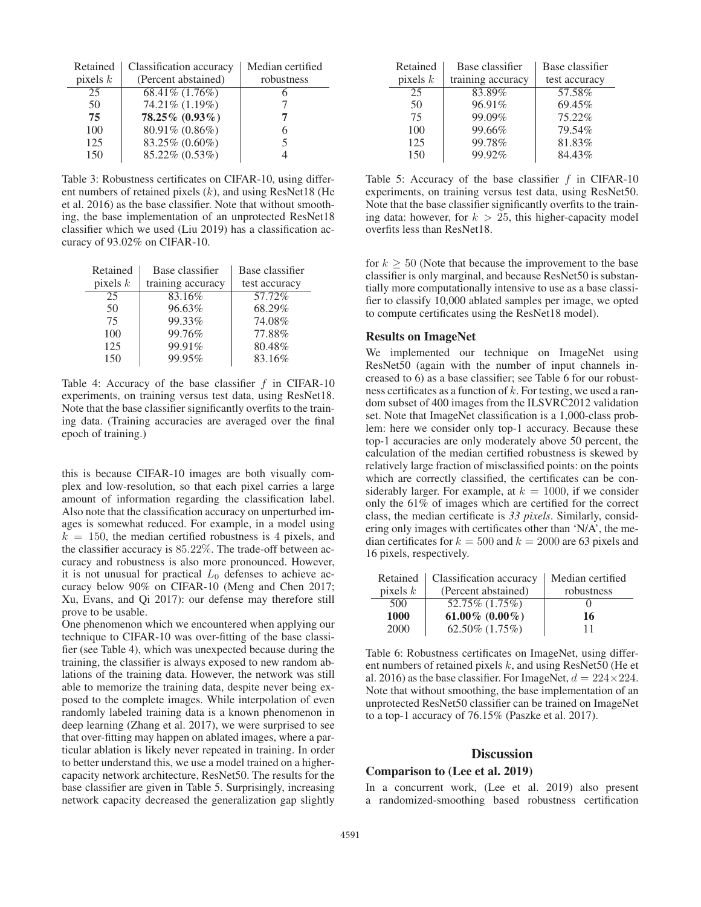| Retained   | Classification accuracy | Median certified |
|------------|-------------------------|------------------|
| pixels $k$ | (Percent abstained)     | robustness       |
| 25         | 68.41\% (1.76\%)        |                  |
| 50         | 74.21% (1.19%)          |                  |
| 75         | 78.25% (0.93%)          |                  |
| 100        | 80.91% (0.86%)          |                  |
| 125        | 83.25% (0.60%)          | 5                |
| 150        | 85.22% (0.53%)          |                  |

Table 3: Robustness certificates on CIFAR-10, using different numbers of retained pixels  $(k)$ , and using ResNet18 (He et al. 2016) as the base classifier. Note that without smoothing, the base implementation of an unprotected ResNet18 classifier which we used (Liu 2019) has a classification accuracy of 93.02% on CIFAR-10.

| Retained   | Base classifier   | Base classifier |
|------------|-------------------|-----------------|
| pixels $k$ | training accuracy | test accuracy   |
| 25         | 83.16%            | 57.72%          |
| 50         | 96.63%            | 68.29%          |
| 75         | 99.33%            | 74.08%          |
| 100        | 99.76%            | 77.88%          |
| 125        | 99.91%            | 80.48%          |
| 150        | 99.95%            | 83.16%          |

Table 4: Accuracy of the base classifier  $f$  in CIFAR-10 experiments, on training versus test data, using ResNet18. Note that the base classifier significantly overfits to the training data. (Training accuracies are averaged over the final epoch of training.)

this is because CIFAR-10 images are both visually complex and low-resolution, so that each pixel carries a large amount of information regarding the classification label. Also note that the classification accuracy on unperturbed images is somewhat reduced. For example, in a model using  $k = 150$ , the median certified robustness is 4 pixels, and the classifier accuracy is 85.22%. The trade-off between accuracy and robustness is also more pronounced. However, it is not unusual for practical  $L_0$  defenses to achieve accuracy below 90% on CIFAR-10 (Meng and Chen 2017; Xu, Evans, and Qi 2017): our defense may therefore still prove to be usable.

One phenomenon which we encountered when applying our technique to CIFAR-10 was over-fitting of the base classifier (see Table 4), which was unexpected because during the training, the classifier is always exposed to new random ablations of the training data. However, the network was still able to memorize the training data, despite never being exposed to the complete images. While interpolation of even randomly labeled training data is a known phenomenon in deep learning (Zhang et al. 2017), we were surprised to see that over-fitting may happen on ablated images, where a particular ablation is likely never repeated in training. In order to better understand this, we use a model trained on a highercapacity network architecture, ResNet50. The results for the base classifier are given in Table 5. Surprisingly, increasing network capacity decreased the generalization gap slightly

| Retained   | Base classifier   | Base classifier |
|------------|-------------------|-----------------|
| pixels $k$ | training accuracy | test accuracy   |
| 25         | 83.89%            | 57.58%          |
| 50         | 96.91%            | 69.45%          |
| 75         | 99.09%            | 75.22%          |
| 100        | 99.66%            | 79.54%          |
| 125        | 99.78%            | 81.83%          |
| 150        | 99.92%            | 84.43%          |

Table 5: Accuracy of the base classifier  $f$  in CIFAR-10 experiments, on training versus test data, using ResNet50. Note that the base classifier significantly overfits to the training data: however, for  $k > 25$ , this higher-capacity model overfits less than ResNet18.

for  $k \geq 50$  (Note that because the improvement to the base classifier is only marginal, and because ResNet50 is substantially more computationally intensive to use as a base classifier to classify 10,000 ablated samples per image, we opted to compute certificates using the ResNet18 model).

### Results on ImageNet

We implemented our technique on ImageNet using ResNet50 (again with the number of input channels increased to 6) as a base classifier; see Table 6 for our robustness certificates as a function of k. For testing, we used a random subset of 400 images from the ILSVRC2012 validation set. Note that ImageNet classification is a 1,000-class problem: here we consider only top-1 accuracy. Because these top-1 accuracies are only moderately above 50 percent, the calculation of the median certified robustness is skewed by relatively large fraction of misclassified points: on the points which are correctly classified, the certificates can be considerably larger. For example, at  $k = 1000$ , if we consider only the 61% of images which are certified for the correct class, the median certificate is *33 pixels*. Similarly, considering only images with certificates other than 'N/A', the median certificates for  $k = 500$  and  $k = 2000$  are 63 pixels and 16 pixels, respectively.

| Retained   | Classification accuracy | Median certified |
|------------|-------------------------|------------------|
| pixels $k$ | (Percent abstained)     | robustness       |
| 500        | 52.75% (1.75%)          |                  |
| 1000       | 61.00% $(0.00\%)$       | 16               |
| 2000       | $62.50\%$ $(1.75\%)$    |                  |

Table 6: Robustness certificates on ImageNet, using different numbers of retained pixels  $k$ , and using ResNet50 (He et al. 2016) as the base classifier. For ImageNet,  $d = 224 \times 224$ . Note that without smoothing, the base implementation of an unprotected ResNet50 classifier can be trained on ImageNet to a top-1 accuracy of 76.15% (Paszke et al. 2017).

# **Discussion**

### Comparison to (Lee et al. 2019)

In a concurrent work, (Lee et al. 2019) also present a randomized-smoothing based robustness certification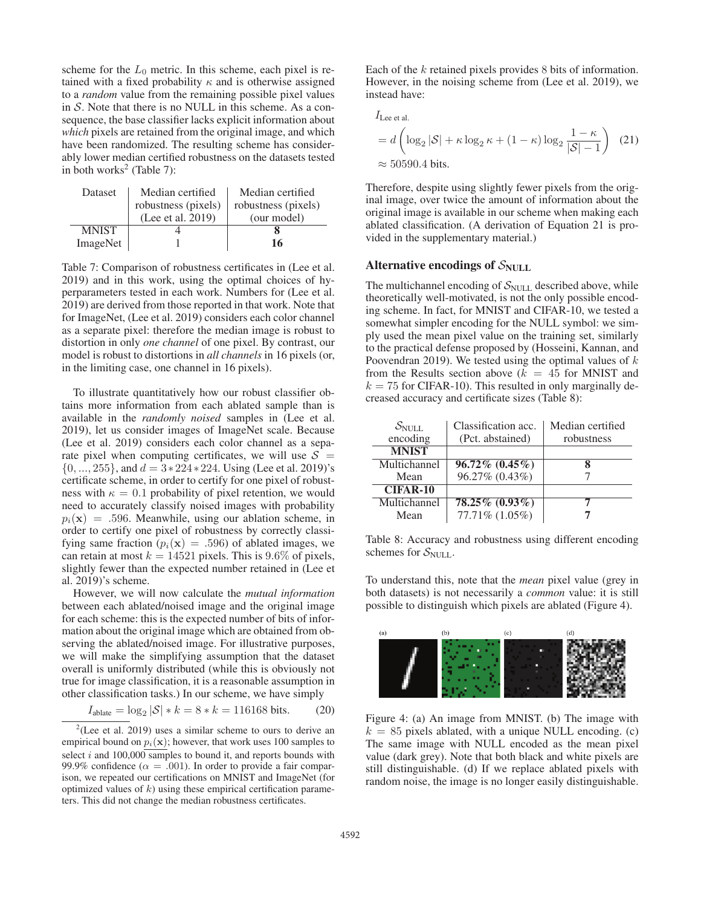scheme for the  $L_0$  metric. In this scheme, each pixel is retained with a fixed probability  $\kappa$  and is otherwise assigned to a *random* value from the remaining possible pixel values in  $S$ . Note that there is no NULL in this scheme. As a consequence, the base classifier lacks explicit information about *which* pixels are retained from the original image, and which have been randomized. The resulting scheme has considerably lower median certified robustness on the datasets tested in both works<sup>2</sup> (Table 7):

| Dataset      | Median certified    | Median certified    |
|--------------|---------------------|---------------------|
|              | robustness (pixels) | robustness (pixels) |
|              | (Lee et al. 2019)   | (our model)         |
| <b>MNIST</b> |                     |                     |
| ImageNet     |                     | 16                  |

Table 7: Comparison of robustness certificates in (Lee et al. 2019) and in this work, using the optimal choices of hyperparameters tested in each work. Numbers for (Lee et al. 2019) are derived from those reported in that work. Note that for ImageNet, (Lee et al. 2019) considers each color channel as a separate pixel: therefore the median image is robust to distortion in only *one channel* of one pixel. By contrast, our model is robust to distortions in *all channels* in 16 pixels (or, in the limiting case, one channel in 16 pixels).

To illustrate quantitatively how our robust classifier obtains more information from each ablated sample than is available in the *randomly noised* samples in (Lee et al. 2019), let us consider images of ImageNet scale. Because (Lee et al. 2019) considers each color channel as a separate pixel when computing certificates, we will use  $S =$  $\{0, ..., 255\}$ , and  $d = 3*224*224$ . Using (Lee et al. 2019)'s certificate scheme, in order to certify for one pixel of robustness with  $\kappa = 0.1$  probability of pixel retention, we would need to accurately classify noised images with probability  $p_i(\mathbf{x}) = .596$ . Meanwhile, using our ablation scheme, in order to certify one pixel of robustness by correctly classifying same fraction  $(p_i(\mathbf{x}) = .596)$  of ablated images, we can retain at most  $k = 14521$  pixels. This is 9.6% of pixels, slightly fewer than the expected number retained in (Lee et al. 2019)'s scheme.

However, we will now calculate the *mutual information* between each ablated/noised image and the original image for each scheme: this is the expected number of bits of information about the original image which are obtained from observing the ablated/noised image. For illustrative purposes, we will make the simplifying assumption that the dataset overall is uniformly distributed (while this is obviously not true for image classification, it is a reasonable assumption in other classification tasks.) In our scheme, we have simply

$$
\underline{I_{\text{ablate}}} = \log_2 |\mathcal{S}| * k = 8 * k = 116168 \text{ bits.}
$$
 (20)

 $2$ (Lee et al. 2019) uses a similar scheme to ours to derive an empirical bound on  $p_i(\mathbf{x})$ ; however, that work uses 100 samples to select i and  $100,000$  samples to bound it, and reports bounds with 99.9% confidence ( $\alpha = .001$ ). In order to provide a fair comparison, we repeated our certifications on MNIST and ImageNet (for optimized values of  $k$ ) using these empirical certification parameters. This did not change the median robustness certificates.

Each of the <sup>k</sup> retained pixels provides 8 bits of information. However, in the noising scheme from (Lee et al. 2019), we instead have:

$$
I_{\text{Lee et al.}}
$$
  
=  $d \left( \log_2 |\mathcal{S}| + \kappa \log_2 \kappa + (1 - \kappa) \log_2 \frac{1 - \kappa}{|\mathcal{S}| - 1} \right)$  (21)  
 $\approx 50590.4 \text{ bits.}$ 

Therefore, despite using slightly fewer pixels from the original image, over twice the amount of information about the original image is available in our scheme when making each ablated classification. (A derivation of Equation 21 is provided in the supplementary material.)

# Alternative encodings of  $\mathcal{S}_{\text{NILL}}$

The multichannel encoding of  $S_{\text{NULL}}$  described above, while theoretically well-motivated, is not the only possible encoding scheme. In fact, for MNIST and CIFAR-10, we tested a somewhat simpler encoding for the NULL symbol: we simply used the mean pixel value on the training set, similarly to the practical defense proposed by (Hosseini, Kannan, and Poovendran 2019). We tested using the optimal values of  $k$ from the Results section above  $(k = 45$  for MNIST and  $k = 75$  for CIFAR-10). This resulted in only marginally decreased accuracy and certificate sizes (Table 8):

| $\mathcal{S}_{\text{NULL}}$ | Classification acc. | Median certified |
|-----------------------------|---------------------|------------------|
| encoding                    | (Pct. abstained)    | robustness       |
| <b>MNIST</b>                |                     |                  |
| Multichannel                | $96.72\% (0.45\%)$  |                  |
| Mean                        | 96.27% (0.43%)      |                  |
| <b>CIFAR-10</b>             |                     |                  |
| Multichannel                | 78.25% (0.93%)      |                  |
| Mean                        | 77.71% (1.05%)      |                  |

Table 8: Accuracy and robustness using different encoding schemes for  $S_{\text{NULL}}$ .

To understand this, note that the *mean* pixel value (grey in both datasets) is not necessarily a *common* value: it is still possible to distinguish which pixels are ablated (Figure 4).



Figure 4: (a) An image from MNIST. (b) The image with  $k = 85$  pixels ablated, with a unique NULL encoding. (c) The same image with NULL encoded as the mean pixel value (dark grey). Note that both black and white pixels are still distinguishable. (d) If we replace ablated pixels with random noise, the image is no longer easily distinguishable.